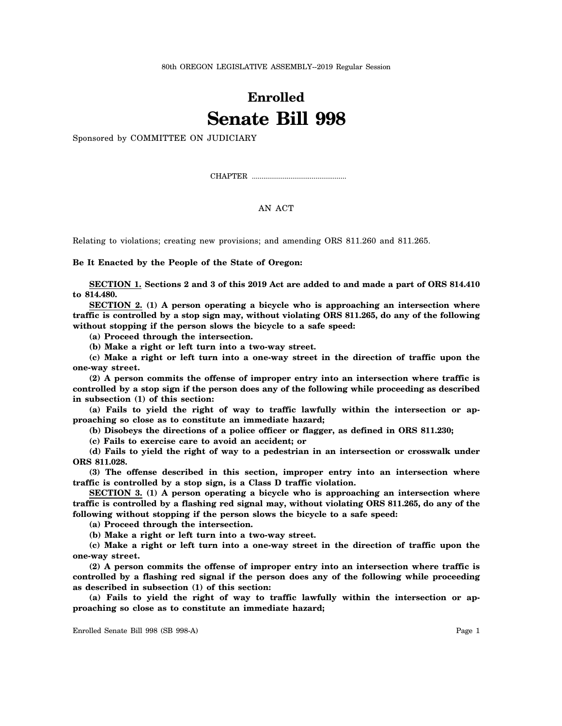80th OREGON LEGISLATIVE ASSEMBLY--2019 Regular Session

## **Enrolled Senate Bill 998**

Sponsored by COMMITTEE ON JUDICIARY

CHAPTER .................................................

## AN ACT

Relating to violations; creating new provisions; and amending ORS 811.260 and 811.265.

**Be It Enacted by the People of the State of Oregon:**

**SECTION 1. Sections 2 and 3 of this 2019 Act are added to and made a part of ORS 814.410 to 814.480.**

**SECTION 2. (1) A person operating a bicycle who is approaching an intersection where traffic is controlled by a stop sign may, without violating ORS 811.265, do any of the following without stopping if the person slows the bicycle to a safe speed:**

**(a) Proceed through the intersection.**

**(b) Make a right or left turn into a two-way street.**

**(c) Make a right or left turn into a one-way street in the direction of traffic upon the one-way street.**

**(2) A person commits the offense of improper entry into an intersection where traffic is controlled by a stop sign if the person does any of the following while proceeding as described in subsection (1) of this section:**

**(a) Fails to yield the right of way to traffic lawfully within the intersection or approaching so close as to constitute an immediate hazard;**

**(b) Disobeys the directions of a police officer or flagger, as defined in ORS 811.230;**

**(c) Fails to exercise care to avoid an accident; or**

**(d) Fails to yield the right of way to a pedestrian in an intersection or crosswalk under ORS 811.028.**

**(3) The offense described in this section, improper entry into an intersection where traffic is controlled by a stop sign, is a Class D traffic violation.**

**SECTION 3. (1) A person operating a bicycle who is approaching an intersection where traffic is controlled by a flashing red signal may, without violating ORS 811.265, do any of the following without stopping if the person slows the bicycle to a safe speed:**

**(a) Proceed through the intersection.**

**(b) Make a right or left turn into a two-way street.**

**(c) Make a right or left turn into a one-way street in the direction of traffic upon the one-way street.**

**(2) A person commits the offense of improper entry into an intersection where traffic is controlled by a flashing red signal if the person does any of the following while proceeding as described in subsection (1) of this section:**

**(a) Fails to yield the right of way to traffic lawfully within the intersection or approaching so close as to constitute an immediate hazard;**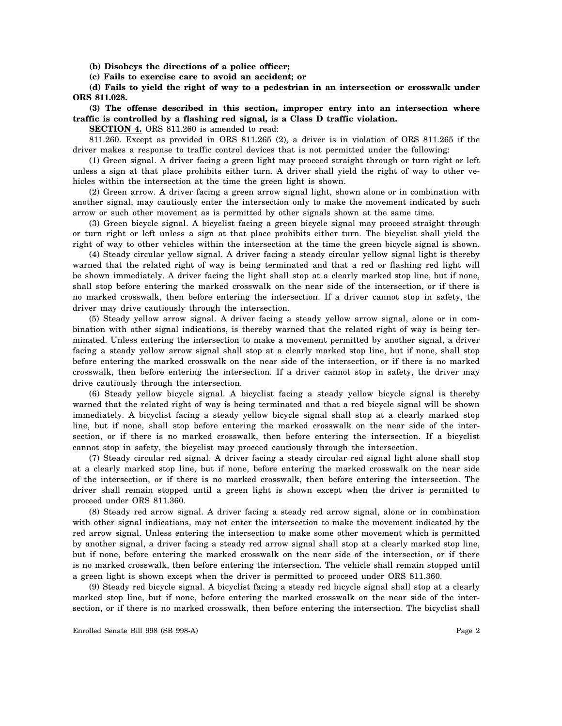**(b) Disobeys the directions of a police officer;**

**(c) Fails to exercise care to avoid an accident; or**

**(d) Fails to yield the right of way to a pedestrian in an intersection or crosswalk under ORS 811.028.**

## **(3) The offense described in this section, improper entry into an intersection where traffic is controlled by a flashing red signal, is a Class D traffic violation.**

**SECTION 4.** ORS 811.260 is amended to read:

811.260. Except as provided in ORS 811.265 (2), a driver is in violation of ORS 811.265 if the driver makes a response to traffic control devices that is not permitted under the following:

(1) Green signal. A driver facing a green light may proceed straight through or turn right or left unless a sign at that place prohibits either turn. A driver shall yield the right of way to other vehicles within the intersection at the time the green light is shown.

(2) Green arrow. A driver facing a green arrow signal light, shown alone or in combination with another signal, may cautiously enter the intersection only to make the movement indicated by such arrow or such other movement as is permitted by other signals shown at the same time.

(3) Green bicycle signal. A bicyclist facing a green bicycle signal may proceed straight through or turn right or left unless a sign at that place prohibits either turn. The bicyclist shall yield the right of way to other vehicles within the intersection at the time the green bicycle signal is shown.

(4) Steady circular yellow signal. A driver facing a steady circular yellow signal light is thereby warned that the related right of way is being terminated and that a red or flashing red light will be shown immediately. A driver facing the light shall stop at a clearly marked stop line, but if none, shall stop before entering the marked crosswalk on the near side of the intersection, or if there is no marked crosswalk, then before entering the intersection. If a driver cannot stop in safety, the driver may drive cautiously through the intersection.

(5) Steady yellow arrow signal. A driver facing a steady yellow arrow signal, alone or in combination with other signal indications, is thereby warned that the related right of way is being terminated. Unless entering the intersection to make a movement permitted by another signal, a driver facing a steady yellow arrow signal shall stop at a clearly marked stop line, but if none, shall stop before entering the marked crosswalk on the near side of the intersection, or if there is no marked crosswalk, then before entering the intersection. If a driver cannot stop in safety, the driver may drive cautiously through the intersection.

(6) Steady yellow bicycle signal. A bicyclist facing a steady yellow bicycle signal is thereby warned that the related right of way is being terminated and that a red bicycle signal will be shown immediately. A bicyclist facing a steady yellow bicycle signal shall stop at a clearly marked stop line, but if none, shall stop before entering the marked crosswalk on the near side of the intersection, or if there is no marked crosswalk, then before entering the intersection. If a bicyclist cannot stop in safety, the bicyclist may proceed cautiously through the intersection.

(7) Steady circular red signal. A driver facing a steady circular red signal light alone shall stop at a clearly marked stop line, but if none, before entering the marked crosswalk on the near side of the intersection, or if there is no marked crosswalk, then before entering the intersection. The driver shall remain stopped until a green light is shown except when the driver is permitted to proceed under ORS 811.360.

(8) Steady red arrow signal. A driver facing a steady red arrow signal, alone or in combination with other signal indications, may not enter the intersection to make the movement indicated by the red arrow signal. Unless entering the intersection to make some other movement which is permitted by another signal, a driver facing a steady red arrow signal shall stop at a clearly marked stop line, but if none, before entering the marked crosswalk on the near side of the intersection, or if there is no marked crosswalk, then before entering the intersection. The vehicle shall remain stopped until a green light is shown except when the driver is permitted to proceed under ORS 811.360.

(9) Steady red bicycle signal. A bicyclist facing a steady red bicycle signal shall stop at a clearly marked stop line, but if none, before entering the marked crosswalk on the near side of the intersection, or if there is no marked crosswalk, then before entering the intersection. The bicyclist shall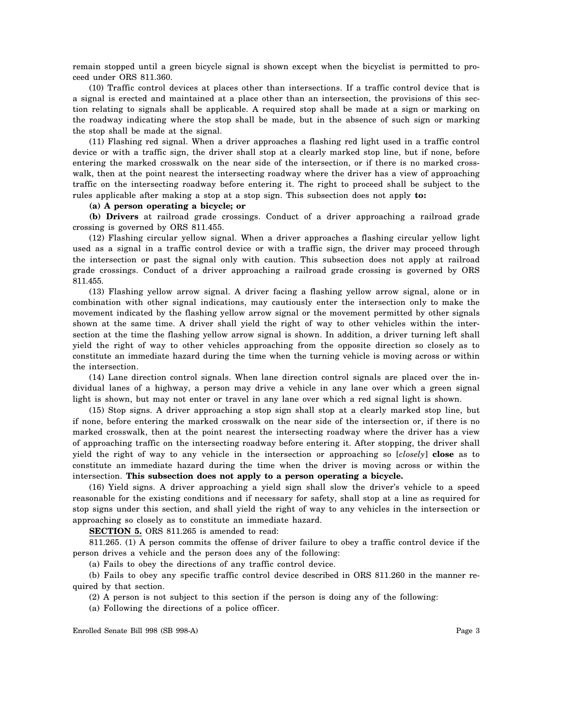remain stopped until a green bicycle signal is shown except when the bicyclist is permitted to proceed under ORS 811.360.

(10) Traffic control devices at places other than intersections. If a traffic control device that is a signal is erected and maintained at a place other than an intersection, the provisions of this section relating to signals shall be applicable. A required stop shall be made at a sign or marking on the roadway indicating where the stop shall be made, but in the absence of such sign or marking the stop shall be made at the signal.

(11) Flashing red signal. When a driver approaches a flashing red light used in a traffic control device or with a traffic sign, the driver shall stop at a clearly marked stop line, but if none, before entering the marked crosswalk on the near side of the intersection, or if there is no marked crosswalk, then at the point nearest the intersecting roadway where the driver has a view of approaching traffic on the intersecting roadway before entering it. The right to proceed shall be subject to the rules applicable after making a stop at a stop sign. This subsection does not apply **to:**

## **(a) A person operating a bicycle; or**

**(b) Drivers** at railroad grade crossings. Conduct of a driver approaching a railroad grade crossing is governed by ORS 811.455.

(12) Flashing circular yellow signal. When a driver approaches a flashing circular yellow light used as a signal in a traffic control device or with a traffic sign, the driver may proceed through the intersection or past the signal only with caution. This subsection does not apply at railroad grade crossings. Conduct of a driver approaching a railroad grade crossing is governed by ORS 811.455.

(13) Flashing yellow arrow signal. A driver facing a flashing yellow arrow signal, alone or in combination with other signal indications, may cautiously enter the intersection only to make the movement indicated by the flashing yellow arrow signal or the movement permitted by other signals shown at the same time. A driver shall yield the right of way to other vehicles within the intersection at the time the flashing yellow arrow signal is shown. In addition, a driver turning left shall yield the right of way to other vehicles approaching from the opposite direction so closely as to constitute an immediate hazard during the time when the turning vehicle is moving across or within the intersection.

(14) Lane direction control signals. When lane direction control signals are placed over the individual lanes of a highway, a person may drive a vehicle in any lane over which a green signal light is shown, but may not enter or travel in any lane over which a red signal light is shown.

(15) Stop signs. A driver approaching a stop sign shall stop at a clearly marked stop line, but if none, before entering the marked crosswalk on the near side of the intersection or, if there is no marked crosswalk, then at the point nearest the intersecting roadway where the driver has a view of approaching traffic on the intersecting roadway before entering it. After stopping, the driver shall yield the right of way to any vehicle in the intersection or approaching so [*closely*] **close** as to constitute an immediate hazard during the time when the driver is moving across or within the intersection. **This subsection does not apply to a person operating a bicycle.**

(16) Yield signs. A driver approaching a yield sign shall slow the driver's vehicle to a speed reasonable for the existing conditions and if necessary for safety, shall stop at a line as required for stop signs under this section, and shall yield the right of way to any vehicles in the intersection or approaching so closely as to constitute an immediate hazard.

**SECTION 5.** ORS 811.265 is amended to read:

811.265. (1) A person commits the offense of driver failure to obey a traffic control device if the person drives a vehicle and the person does any of the following:

(a) Fails to obey the directions of any traffic control device.

(b) Fails to obey any specific traffic control device described in ORS 811.260 in the manner required by that section.

(2) A person is not subject to this section if the person is doing any of the following:

(a) Following the directions of a police officer.

Enrolled Senate Bill 998 (SB 998-A) Page 3